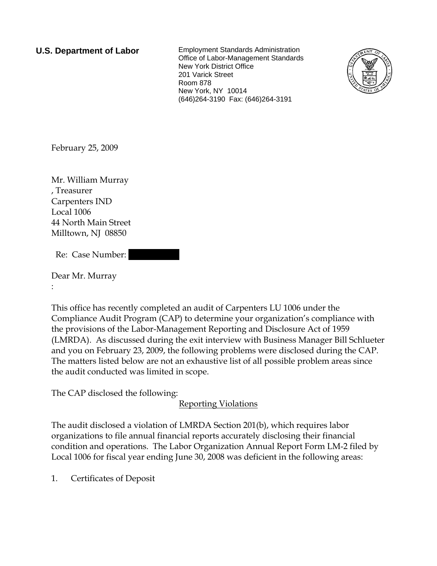**U.S. Department of Labor** Employment Standards Administration Office of Labor-Management Standards New York District Office 201 Varick Street Room 878 New York, NY 10014 (646)264-3190 Fax: (646)264-3191



February 25, 2009

Mr. William Murray , Treasurer Carpenters IND Local 1006 44 North Main Street Milltown, NJ 08850

Re: Case Number:

Dear Mr. Murray :

This office has recently completed an audit of Carpenters LU 1006 under the Compliance Audit Program (CAP) to determine your organization's compliance with the provisions of the Labor-Management Reporting and Disclosure Act of 1959 (LMRDA). As discussed during the exit interview with Business Manager Bill Schlueter and you on February 23, 2009, the following problems were disclosed during the CAP. The matters listed below are not an exhaustive list of all possible problem areas since the audit conducted was limited in scope.

The CAP disclosed the following:

Reporting Violations

The audit disclosed a violation of LMRDA Section 201(b), which requires labor organizations to file annual financial reports accurately disclosing their financial condition and operations. The Labor Organization Annual Report Form LM-2 filed by Local 1006 for fiscal year ending June 30, 2008 was deficient in the following areas:

1. Certificates of Deposit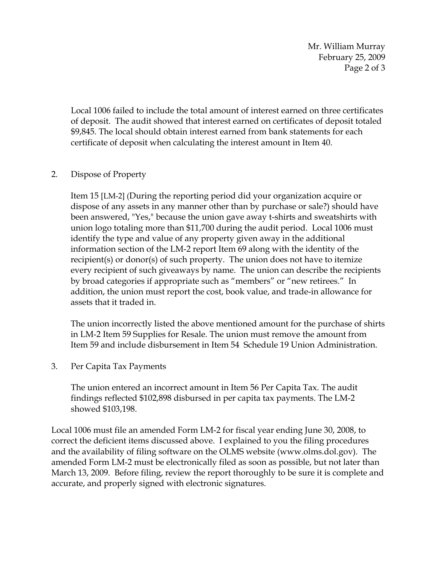Mr. William Murray February 25, 2009 Page 2 of 3

Local 1006 failed to include the total amount of interest earned on three certificates of deposit. The audit showed that interest earned on certificates of deposit totaled \$9,845. The local should obtain interest earned from bank statements for each certificate of deposit when calculating the interest amount in Item 40.

## 2. Dispose of Property

Item 15 [LM-2] (During the reporting period did your organization acquire or dispose of any assets in any manner other than by purchase or sale?) should have been answered, "Yes," because the union gave away t-shirts and sweatshirts with union logo totaling more than \$11,700 during the audit period. Local 1006 must identify the type and value of any property given away in the additional information section of the LM-2 report Item 69 along with the identity of the recipient(s) or donor(s) of such property. The union does not have to itemize every recipient of such giveaways by name. The union can describe the recipients by broad categories if appropriate such as "members" or "new retirees." In addition, the union must report the cost, book value, and trade-in allowance for assets that it traded in.

The union incorrectly listed the above mentioned amount for the purchase of shirts in LM-2 Item 59 Supplies for Resale. The union must remove the amount from Item 59 and include disbursement in Item 54 Schedule 19 Union Administration.

## 3. Per Capita Tax Payments

The union entered an incorrect amount in Item 56 Per Capita Tax. The audit findings reflected \$102,898 disbursed in per capita tax payments. The LM-2 showed \$103,198.

Local 1006 must file an amended Form LM-2 for fiscal year ending June 30, 2008, to correct the deficient items discussed above. I explained to you the filing procedures and the availability of filing software on the OLMS website (www.olms.dol.gov). The amended Form LM-2 must be electronically filed as soon as possible, but not later than March 13, 2009. Before filing, review the report thoroughly to be sure it is complete and accurate, and properly signed with electronic signatures.